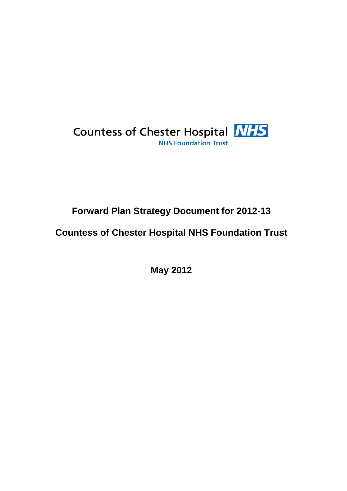

# **Forward Plan Strategy Document for 2012-13**

# **Countess of Chester Hospital NHS Foundation Trust**

**May 2012**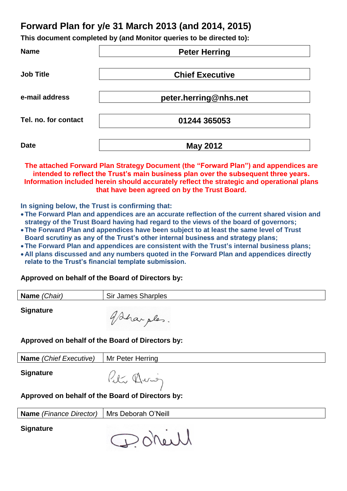# **Forward Plan for y/e 31 March 2013 (and 2014, 2015)**

**This document completed by (and Monitor queries to be directed to):**

| <b>Name</b>          | <b>Peter Herring</b>   |  |  |  |  |
|----------------------|------------------------|--|--|--|--|
| <b>Job Title</b>     | <b>Chief Executive</b> |  |  |  |  |
| e-mail address       | peter.herring@nhs.net  |  |  |  |  |
| Tel. no. for contact | 01244 365053           |  |  |  |  |
| <b>Date</b>          | <b>May 2012</b>        |  |  |  |  |

**The attached Forward Plan Strategy Document (the "Forward Plan") and appendices are intended to reflect the Trust's main business plan over the subsequent three years. Information included herein should accurately reflect the strategic and operational plans that have been agreed on by the Trust Board.**

**In signing below, the Trust is confirming that:**

- **The Forward Plan and appendices are an accurate reflection of the current shared vision and strategy of the Trust Board having had regard to the views of the board of governors;**
- **The Forward Plan and appendices have been subject to at least the same level of Trust Board scrutiny as any of the Trust's other internal business and strategy plans;**
- **The Forward Plan and appendices are consistent with the Trust's internal business plans;**
- **All plans discussed and any numbers quoted in the Forward Plan and appendices directly relate to the Trust's financial template submission.**

**Approved on behalf of the Board of Directors by:**

| Name (Chair) | <b>Sir James Sharples</b> |
|--------------|---------------------------|
|              |                           |

**Signature**

gaharples.

# **Approved on behalf of the Board of Directors by:**

| <b>Name</b> (Chief Executive)   Mr Peter Herring |                            |
|--------------------------------------------------|----------------------------|
| <b>Signature</b>                                 | $0-$<br>$(M \cdot \sigma)$ |

Peter Hurog

# **Approved on behalf of the Board of Directors by:**

**Name** *(Finance Director)* | Mrs Deborah O'Neill

**Signature**

Doneill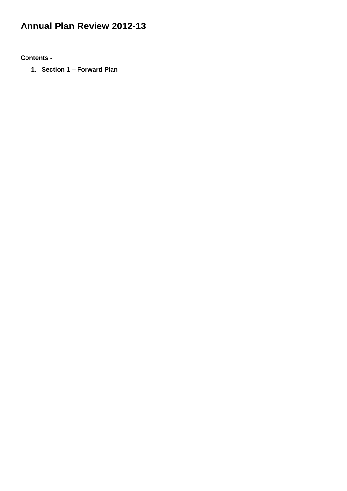# **Annual Plan Review 2012-13**

**Contents -**

**1. Section 1 – Forward Plan**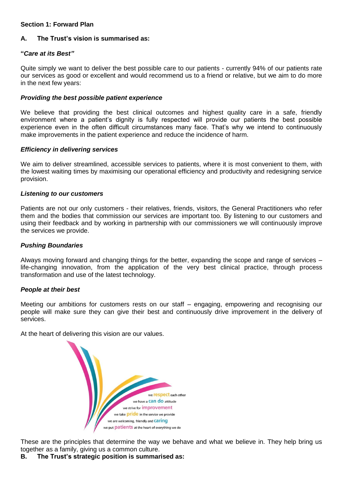# **Section 1: Forward Plan**

# **A. The Trust's vision is summarised as:**

# **"***Care at its Best"*

Quite simply we want to deliver the best possible care to our patients - currently 94% of our patients rate our services as good or excellent and would recommend us to a friend or relative, but we aim to do more in the next few years:

## *Providing the best possible patient experience*

We believe that providing the best clinical outcomes and highest quality care in a safe, friendly environment where a patient's dignity is fully respected will provide our patients the best possible experience even in the often difficult circumstances many face. That's why we intend to continuously make improvements in the patient experience and reduce the incidence of harm.

## *Efficiency in delivering services*

We aim to deliver streamlined, accessible services to patients, where it is most convenient to them, with the lowest waiting times by maximising our operational efficiency and productivity and redesigning service provision.

## *Listening to our customers*

Patients are not our only customers - their relatives, friends, visitors, the General Practitioners who refer them and the bodies that commission our services are important too. By listening to our customers and using their feedback and by working in partnership with our commissioners we will continuously improve the services we provide.

## *Pushing Boundaries*

Always moving forward and changing things for the better, expanding the scope and range of services – life-changing innovation, from the application of the very best clinical practice, through process transformation and use of the latest technology.

## *People at their best*

Meeting our ambitions for customers rests on our staff – engaging, empowering and recognising our people will make sure they can give their best and continuously drive improvement in the delivery of services.

At the heart of delivering this vision are our values.



These are the principles that determine the way we behave and what we believe in. They help bring us together as a family, giving us a common culture.

## **B. The Trust's strategic position is summarised as:**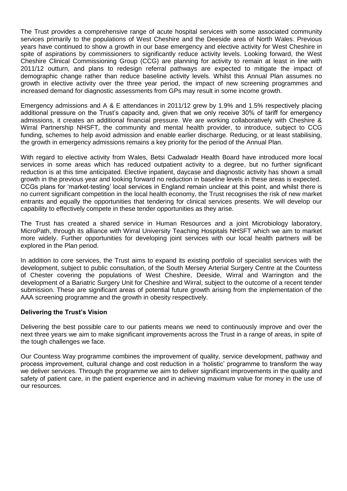The Trust provides a comprehensive range of acute hospital services with some associated community services primarily to the populations of West Cheshire and the Deeside area of North Wales. Previous years have continued to show a growth in our base emergency and elective activity for West Cheshire in spite of aspirations by commissioners to significantly reduce activity levels. Looking forward, the West Cheshire Clinical Commissioning Group (CCG) are planning for activity to remain at least in line with 2011/12 outturn, and plans to redesign referral pathways are expected to mitigate the impact of demographic change rather than reduce baseline activity levels. Whilst this Annual Plan assumes no growth in elective activity over the three year period, the impact of new screening programmes and increased demand for diagnostic assessments from GPs may result in some income growth.

Emergency admissions and A & E attendances in 2011/12 grew by 1.9% and 1.5% respectively placing additional pressure on the Trust's capacity and, given that we only receive 30% of tariff for emergency admissions, it creates an additional financial pressure. We are working collaboratively with Cheshire & Wirral Partnership NHSFT, the community and mental health provider, to introduce, subject to CCG funding, schemes to help avoid admission and enable earlier discharge. Reducing, or at least stabilising, the growth in emergency admissions remains a key priority for the period of the Annual Plan.

With regard to elective activity from Wales, Betsi Cadwaladr Health Board have introduced more local services in some areas which has reduced outpatient activity to a degree, but no further significant reduction is at this time anticipated. Elective inpatient, daycase and diagnostic activity has shown a small growth in the previous year and looking forward no reduction in baseline levels in these areas is expected. CCGs plans for 'market-testing' local services in England remain unclear at this point, and whilst there is no current significant competition in the local health economy, the Trust recognises the risk of new market entrants and equally the opportunities that tendering for clinical services presents. We will develop our capability to effectively compete in these tender opportunities as they arise.

The Trust has created a shared service in Human Resources and a joint Microbiology laboratory, MicroPath, through its alliance with Wirral University Teaching Hospitals NHSFT which we aim to market more widely. Further opportunities for developing joint services with our local health partners will be explored in the Plan period.

In addition to core services, the Trust aims to expand its existing portfolio of specialist services with the development, subject to public consultation, of the South Mersey Arterial Surgery Centre at the Countess of Chester covering the populations of West Cheshire, Deeside, Wirral and Warrington and the development of a Bariatric Surgery Unit for Cheshire and Wirral, subject to the outcome of a recent tender submission. These are significant areas of potential future growth arising from the implementation of the AAA screening programme and the growth in obesity respectively.

# **Delivering the Trust's Vision**

Delivering the best possible care to our patients means we need to continuously improve and over the next three years we aim to make significant improvements across the Trust in a range of areas, in spite of the tough challenges we face.

Our Countess Way programme combines the improvement of quality, service development, pathway and process improvement, cultural change and cost reduction in a 'holistic' programme to transform the way we deliver services. Through the programme we aim to deliver significant improvements in the quality and safety of patient care, in the patient experience and in achieving maximum value for money in the use of our resources.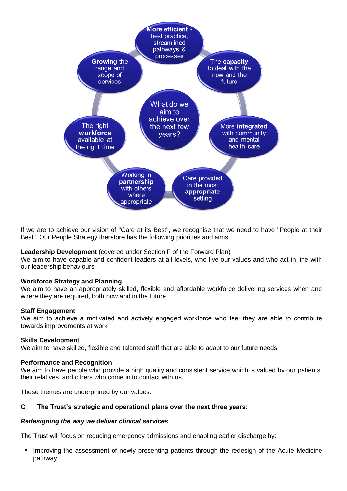

If we are to achieve our vision of "Care at its Best", we recognise that we need to have "People at their Best". Our People Strategy therefore has the following priorities and aims:

## **Leadership Development** (covered under Section F of the Forward Plan)

We aim to have capable and confident leaders at all levels, who live our values and who act in line with our leadership behaviours

## **Workforce Strategy and Planning**

We aim to have an appropriately skilled, flexible and affordable workforce delivering services when and where they are required, both now and in the future

#### **Staff Engagement**

We aim to achieve a motivated and actively engaged workforce who feel they are able to contribute towards improvements at work

#### **Skills Development**

We aim to have skilled, flexible and talented staff that are able to adapt to our future needs

#### **Performance and Recognition**

We aim to have people who provide a high quality and consistent service which is valued by our patients, their relatives, and others who come in to contact with us

These themes are underpinned by our values.

### **C. The Trust's strategic and operational plans over the next three years:**

#### *Redesigning the way we deliver clinical services*

The Trust will focus on reducing emergency admissions and enabling earlier discharge by:

 Improving the assessment of newly presenting patients through the redesign of the Acute Medicine pathway.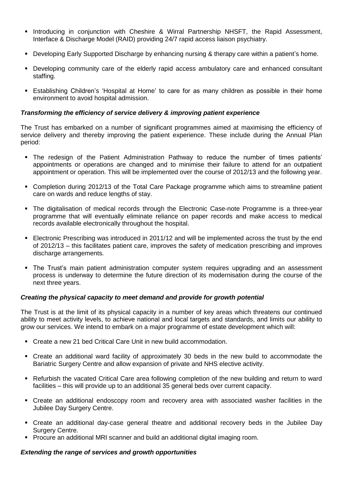- Introducing in conjunction with Cheshire & Wirral Partnership NHSFT, the Rapid Assessment, Interface & Discharge Model (RAID) providing 24/7 rapid access liaison psychiatry.
- **Developing Early Supported Discharge by enhancing nursing & therapy care within a patient's home.**
- Developing community care of the elderly rapid access ambulatory care and enhanced consultant staffing.
- Establishing Children's 'Hospital at Home' to care for as many children as possible in their home environment to avoid hospital admission.

# *Transforming the efficiency of service delivery & improving patient experience*

The Trust has embarked on a number of significant programmes aimed at maximising the efficiency of service delivery and thereby improving the patient experience. These include during the Annual Plan period:

- The redesign of the Patient Administration Pathway to reduce the number of times patients' appointments or operations are changed and to minimise their failure to attend for an outpatient appointment or operation. This will be implemented over the course of 2012/13 and the following year.
- Completion during 2012/13 of the Total Care Package programme which aims to streamline patient care on wards and reduce lengths of stay.
- The digitalisation of medical records through the Electronic Case-note Programme is a three-year programme that will eventually eliminate reliance on paper records and make access to medical records available electronically throughout the hospital.
- Electronic Prescribing was introduced in 2011/12 and will be implemented across the trust by the end of 2012/13 – this facilitates patient care, improves the safety of medication prescribing and improves discharge arrangements.
- The Trust's main patient administration computer system requires upgrading and an assessment process is underway to determine the future direction of its modernisation during the course of the next three years.

# *Creating the physical capacity to meet demand and provide for growth potential*

The Trust is at the limit of its physical capacity in a number of key areas which threatens our continued ability to meet activity levels, to achieve national and local targets and standards, and limits our ability to grow our services. We intend to embark on a major programme of estate development which will:

- Create a new 21 bed Critical Care Unit in new build accommodation.
- Create an additional ward facility of approximately 30 beds in the new build to accommodate the Bariatric Surgery Centre and allow expansion of private and NHS elective activity.
- Refurbish the vacated Critical Care area following completion of the new building and return to ward facilities – this will provide up to an additional 35 general beds over current capacity.
- Create an additional endoscopy room and recovery area with associated washer facilities in the Jubilee Day Surgery Centre.
- Create an additional day-case general theatre and additional recovery beds in the Jubilee Day Surgery Centre.
- **Procure an additional MRI scanner and build an additional digital imaging room.**

## *Extending the range of services and growth opportunities*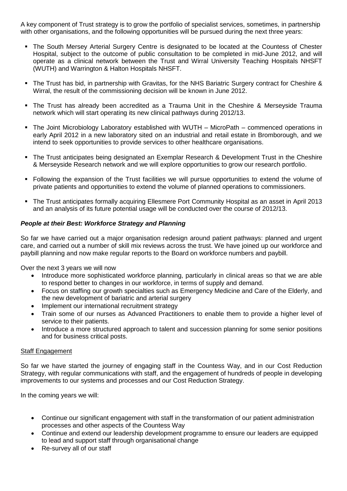A key component of Trust strategy is to grow the portfolio of specialist services, sometimes, in partnership with other organisations, and the following opportunities will be pursued during the next three years:

- The South Mersey Arterial Surgery Centre is designated to be located at the Countess of Chester Hospital, subject to the outcome of public consultation to be completed in mid-June 2012, and will operate as a clinical network between the Trust and Wirral University Teaching Hospitals NHSFT (WUTH) and Warrington & Halton Hospitals NHSFT.
- The Trust has bid, in partnership with Gravitas, for the NHS Bariatric Surgery contract for Cheshire & Wirral, the result of the commissioning decision will be known in June 2012.
- The Trust has already been accredited as a Trauma Unit in the Cheshire & Merseyside Trauma network which will start operating its new clinical pathways during 2012/13.
- The Joint Microbiology Laboratory established with WUTH MicroPath commenced operations in early April 2012 in a new laboratory sited on an industrial and retail estate in Bromborough, and we intend to seek opportunities to provide services to other healthcare organisations.
- The Trust anticipates being designated an Exemplar Research & Development Trust in the Cheshire & Merseyside Research network and we will explore opportunities to grow our research portfolio.
- Following the expansion of the Trust facilities we will pursue opportunities to extend the volume of private patients and opportunities to extend the volume of planned operations to commissioners.
- The Trust anticipates formally acquiring Ellesmere Port Community Hospital as an asset in April 2013 and an analysis of its future potential usage will be conducted over the course of 2012/13.

# *People at their Best: Workforce Strategy and Planning*

So far we have carried out a major organisation redesign around patient pathways: planned and urgent care, and carried out a number of skill mix reviews across the trust. We have joined up our workforce and paybill planning and now make regular reports to the Board on workforce numbers and paybill.

Over the next 3 years we will now

- Introduce more sophisticated workforce planning, particularly in clinical areas so that we are able to respond better to changes in our workforce, in terms of supply and demand.
- Focus on staffing our growth specialties such as Emergency Medicine and Care of the Elderly, and the new development of bariatric and arterial surgery
- Implement our international recruitment strategy
- Train some of our nurses as Advanced Practitioners to enable them to provide a higher level of service to their patients.
- Introduce a more structured approach to talent and succession planning for some senior positions and for business critical posts.

## Staff Engagement

So far we have started the journey of engaging staff in the Countess Way, and in our Cost Reduction Strategy, with regular communications with staff, and the engagement of hundreds of people in developing improvements to our systems and processes and our Cost Reduction Strategy.

In the coming years we will:

- Continue our significant engagement with staff in the transformation of our patient administration processes and other aspects of the Countess Way
- Continue and extend our leadership development programme to ensure our leaders are equipped to lead and support staff through organisational change
- Re-survey all of our staff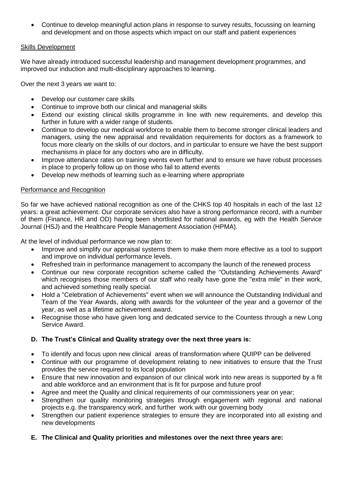Continue to develop meaningful action plans in response to survey results, focussing on learning and development and on those aspects which impact on our staff and patient experiences

# Skills Development

We have already introduced successful leadership and management development programmes, and improved our induction and multi-disciplinary approaches to learning.

Over the next 3 years we want to:

- Develop our customer care skills
- Continue to improve both our clinical and managerial skills
- Extend our existing clinical skills programme in line with new requirements, and develop this further in future with a wider range of students.
- Continue to develop our medical workforce to enable them to become stronger clinical leaders and managers, using the new appraisal and revalidation requirements for doctors as a framework to focus more clearly on the skills of our doctors, and in particular to ensure we have the best support mechanisms in place for any doctors who are in difficulty.
- Improve attendance rates on training events even further and to ensure we have robust processes in place to properly follow up on those who fail to attend events
- Develop new methods of learning such as e-learning where appropriate

# Performance and Recognition

So far we have achieved national recognition as one of the CHKS top 40 hospitals in each of the last 12 years: a great achievement. Our corporate services also have a strong performance record, with a number of them (Finance, HR and OD) having been shortlisted for national awards, eg with the Health Service Journal (HSJ) and the Healthcare People Management Association (HPMA).

At the level of individual performance we now plan to:

- Improve and simplify our appraisal systems them to make them more effective as a tool to support and improve on individual performance levels.
- Refreshed train in performance management to accompany the launch of the renewed process
- Continue our new corporate recognition scheme called the "Outstanding Achievements Award" which recognises those members of our staff who really have gone the "extra mile" in their work, and achieved something really special.
- Hold a "Celebration of Achievements" event when we will announce the Outstanding Individual and Team of the Year Awards, along with awards for the volunteer of the year and a governor of the year, as well as a lifetime achievement award.
- Recognise those who have given long and dedicated service to the Countess through a new Long Service Award.

# **D. The Trust's Clinical and Quality strategy over the next three years is:**

- To identify and focus upon new clinical areas of transformation where QUIPP can be delivered
- Continue with our programme of development relating to new initiatives to ensure that the Trust provides the service required to its local population
- Ensure that new innovation and expansion of our clinical work into new areas is supported by a fit and able workforce and an environment that is fit for purpose and future proof
- Agree and meet the Quality and clinical requirements of our commissioners year on year;
- Strengthen our quality monitoring strategies through engagement with regional and national projects e.g. the transparency work, and further work with our governing body
- Strengthen our patient experience strategies to ensure they are incorporated into all existing and new developments
- **E. The Clinical and Quality priorities and milestones over the next three years are:**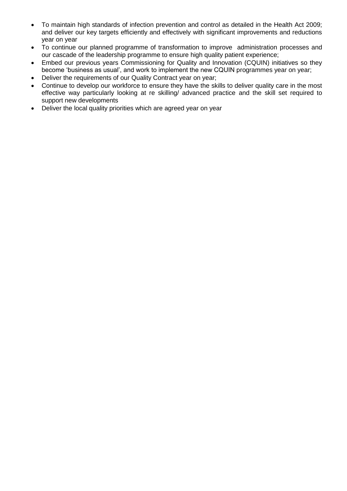- To maintain high standards of infection prevention and control as detailed in the Health Act 2009; and deliver our key targets efficiently and effectively with significant improvements and reductions year on year
- To continue our planned programme of transformation to improve administration processes and our cascade of the leadership programme to ensure high quality patient experience;
- Embed our previous years Commissioning for Quality and Innovation (CQUIN) initiatives so they become 'business as usual', and work to implement the new CQUIN programmes year on year;
- Deliver the requirements of our Quality Contract year on year;
- Continue to develop our workforce to ensure they have the skills to deliver quality care in the most effective way particularly looking at re skilling/ advanced practice and the skill set required to support new developments
- Deliver the local quality priorities which are agreed year on year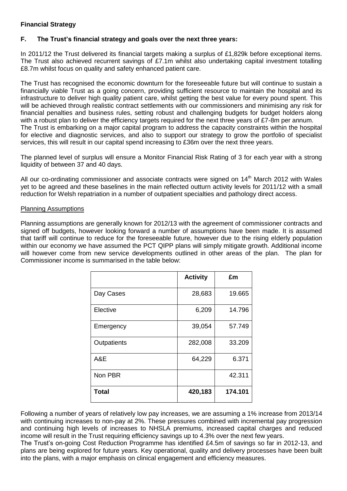# **Financial Strategy**

# **F. The Trust's financial strategy and goals over the next three years:**

In 2011/12 the Trust delivered its financial targets making a surplus of £1,829k before exceptional items. The Trust also achieved recurrent savings of £7.1m whilst also undertaking capital investment totalling £8.7m whilst focus on quality and safety enhanced patient care.

The Trust has recognised the economic downturn for the foreseeable future but will continue to sustain a financially viable Trust as a going concern, providing sufficient resource to maintain the hospital and its infrastructure to deliver high quality patient care, whilst getting the best value for every pound spent. This will be achieved through realistic contract settlements with our commissioners and minimising any risk for financial penalties and business rules, setting robust and challenging budgets for budget holders along with a robust plan to deliver the efficiency targets required for the next three years of  $£7$ -8m per annum. The Trust is embarking on a major capital program to address the capacity constraints within the hospital for elective and diagnostic services, and also to support our strategy to grow the portfolio of specialist services, this will result in our capital spend increasing to £36m over the next three years.

The planned level of surplus will ensure a Monitor Financial Risk Rating of 3 for each year with a strong liquidity of between 37 and 40 days.

All our co-ordinating commissioner and associate contracts were signed on  $14<sup>th</sup>$  March 2012 with Wales yet to be agreed and these baselines in the main reflected outturn activity levels for 2011/12 with a small reduction for Welsh repatriation in a number of outpatient specialties and pathology direct access.

## Planning Assumptions

Planning assumptions are generally known for 2012/13 with the agreement of commissioner contracts and signed off budgets, however looking forward a number of assumptions have been made. It is assumed that tariff will continue to reduce for the foreseeable future, however due to the rising elderly population within our economy we have assumed the PCT QIPP plans will simply mitigate growth. Additional income will however come from new service developments outlined in other areas of the plan. The plan for Commissioner income is summarised in the table below:

|              | <b>Activity</b>   | £m      |
|--------------|-------------------|---------|
| Day Cases    | 28,683            | 19.665  |
| Elective     | 6,209             | 14.796  |
| Emergency    | 39,054            | 57.749  |
| Outpatients  | 33.209<br>282,008 |         |
| A&E          | 64,229<br>6.371   |         |
| Non PBR      |                   | 42.311  |
| <b>Total</b> | 420,183           | 174.101 |

Following a number of years of relatively low pay increases, we are assuming a 1% increase from 2013/14 with continuing increases to non-pay at 2%. These pressures combined with incremental pay progression and continuing high levels of increases to NHSLA premiums, increased capital charges and reduced income will result in the Trust requiring efficiency savings up to 4.3% over the next few years.

The Trust's on-going Cost Reduction Programme has identified £4.5m of savings so far in 2012-13, and plans are being explored for future years. Key operational, quality and delivery processes have been built into the plans, with a major emphasis on clinical engagement and efficiency measures.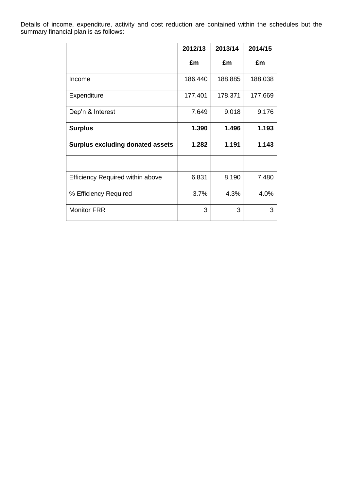Details of income, expenditure, activity and cost reduction are contained within the schedules but the summary financial plan is as follows:

|                                         | 2012/13 | 2013/14 | 2014/15 |
|-----------------------------------------|---------|---------|---------|
|                                         | £m      | £m      | £m      |
| Income                                  | 186.440 | 188.885 | 188.038 |
| Expenditure                             | 177.401 | 178.371 | 177.669 |
| Dep'n & Interest                        | 7.649   | 9.018   | 9.176   |
| <b>Surplus</b>                          | 1.390   | 1.496   | 1.193   |
| <b>Surplus excluding donated assets</b> | 1.282   | 1.191   | 1.143   |
|                                         |         |         |         |
| <b>Efficiency Required within above</b> | 6.831   | 8.190   | 7.480   |
| % Efficiency Required                   | 3.7%    | 4.3%    | 4.0%    |
| <b>Monitor FRR</b>                      | 3       | 3       | 3       |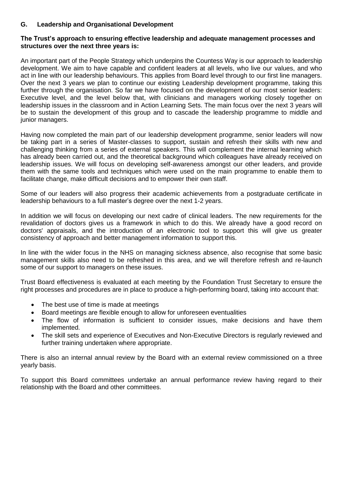# **G. Leadership and Organisational Development**

# **The Trust's approach to ensuring effective leadership and adequate management processes and structures over the next three years is:**

An important part of the People Strategy which underpins the Countess Way is our approach to leadership development. We aim to have capable and confident leaders at all levels, who live our values, and who act in line with our leadership behaviours. This applies from Board level through to our first line managers. Over the next 3 years we plan to continue our existing Leadership development programme, taking this further through the organisation. So far we have focused on the development of our most senior leaders: Executive level, and the level below that, with clinicians and managers working closely together on leadership issues in the classroom and in Action Learning Sets. The main focus over the next 3 years will be to sustain the development of this group and to cascade the leadership programme to middle and junior managers.

Having now completed the main part of our leadership development programme, senior leaders will now be taking part in a series of Master-classes to support, sustain and refresh their skills with new and challenging thinking from a series of external speakers. This will complement the internal learning which has already been carried out, and the theoretical background which colleagues have already received on leadership issues. We will focus on developing self-awareness amongst our other leaders, and provide them with the same tools and techniques which were used on the main programme to enable them to facilitate change, make difficult decisions and to empower their own staff.

Some of our leaders will also progress their academic achievements from a postgraduate certificate in leadership behaviours to a full master's degree over the next 1-2 years.

In addition we will focus on developing our next cadre of clinical leaders. The new requirements for the revalidation of doctors gives us a framework in which to do this. We already have a good record on doctors' appraisals, and the introduction of an electronic tool to support this will give us greater consistency of approach and better management information to support this.

In line with the wider focus in the NHS on managing sickness absence, also recognise that some basic management skills also need to be refreshed in this area, and we will therefore refresh and re-launch some of our support to managers on these issues.

Trust Board effectiveness is evaluated at each meeting by the Foundation Trust Secretary to ensure the right processes and procedures are in place to produce a high-performing board, taking into account that:

- The best use of time is made at meetings
- Board meetings are flexible enough to allow for unforeseen eventualities
- The flow of information is sufficient to consider issues, make decisions and have them implemented.
- The skill sets and experience of Executives and Non-Executive Directors is regularly reviewed and further training undertaken where appropriate.

There is also an internal annual review by the Board with an external review commissioned on a three yearly basis.

To support this Board committees undertake an annual performance review having regard to their relationship with the Board and other committees.